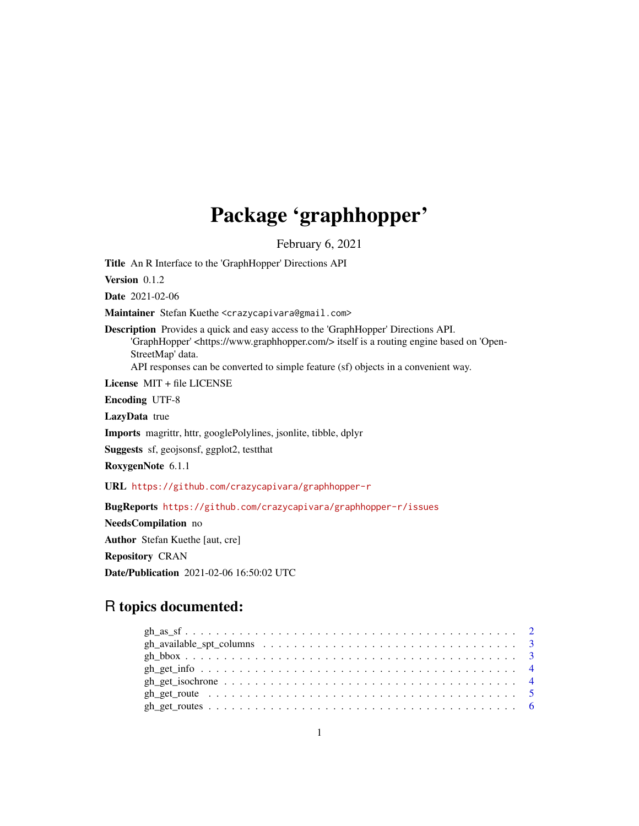## Package 'graphhopper'

February 6, 2021

Title An R Interface to the 'GraphHopper' Directions API

Version 0.1.2

Date 2021-02-06

Maintainer Stefan Kuethe <crazycapivara@gmail.com>

Description Provides a quick and easy access to the 'GraphHopper' Directions API. 'GraphHopper' <https://www.graphhopper.com/> itself is a routing engine based on 'Open-StreetMap' data. API responses can be converted to simple feature (sf) objects in a convenient way.

License MIT + file LICENSE

Encoding UTF-8

LazyData true

Imports magrittr, httr, googlePolylines, jsonlite, tibble, dplyr

Suggests sf, geojsonsf, ggplot2, testthat

RoxygenNote 6.1.1

URL <https://github.com/crazycapivara/graphhopper-r>

BugReports <https://github.com/crazycapivara/graphhopper-r/issues>

NeedsCompilation no Author Stefan Kuethe [aut, cre] Repository CRAN Date/Publication 2021-02-06 16:50:02 UTC

### R topics documented: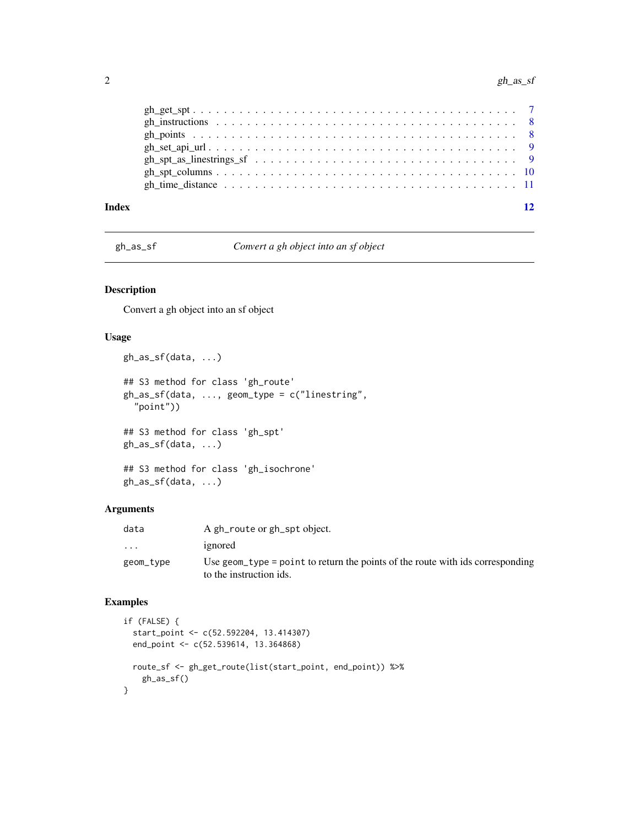<span id="page-1-0"></span>

| Index | 12 |
|-------|----|
|       |    |
|       |    |
|       |    |
|       |    |
|       |    |
|       |    |
|       |    |

gh\_as\_sf *Convert a gh object into an sf object*

#### Description

Convert a gh object into an sf object

#### Usage

```
gh_as_sf(data, ...)
## S3 method for class 'gh_route'
gh_as_sf(data, ..., geom_type = c("linestring",
  "point"))
## S3 method for class 'gh_spt'
gh_as_sf(data, ...)
## S3 method for class 'gh_isochrone'
```

```
gh_as_sf(data, ...)
```
#### Arguments

| data      | A gh_route or gh_spt object.                                                                              |
|-----------|-----------------------------------------------------------------------------------------------------------|
| .         | ignored                                                                                                   |
| geom_type | Use geom type = point to return the points of the route with ids corresponding<br>to the instruction ids. |

```
if (FALSE) {
  start_point <- c(52.592204, 13.414307)
  end_point <- c(52.539614, 13.364868)
  route_sf <- gh_get_route(list(start_point, end_point)) %>%
    gh_as_sf()
}
```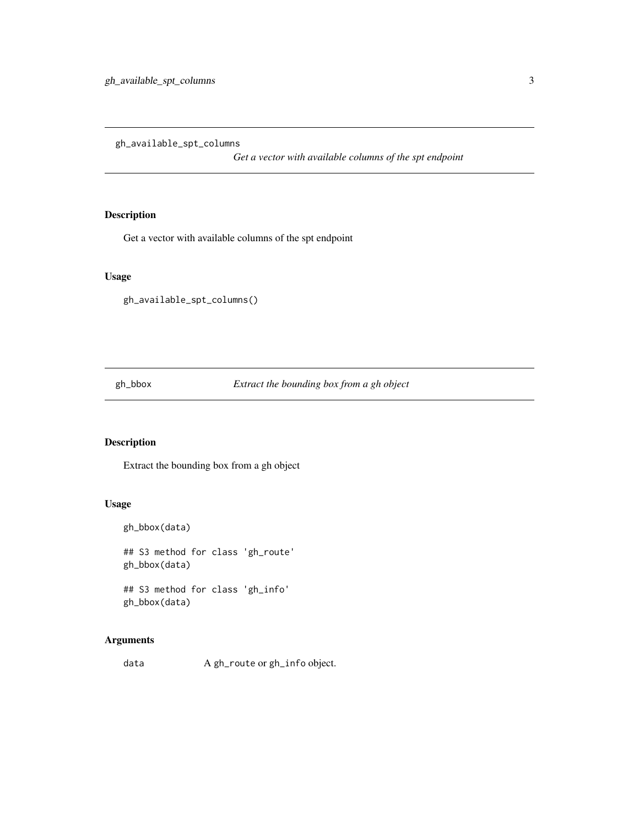<span id="page-2-1"></span><span id="page-2-0"></span>gh\_available\_spt\_columns

*Get a vector with available columns of the spt endpoint*

#### Description

Get a vector with available columns of the spt endpoint

#### Usage

gh\_available\_spt\_columns()

gh\_bbox *Extract the bounding box from a gh object*

#### Description

Extract the bounding box from a gh object

#### Usage

```
gh_bbox(data)
## S3 method for class 'gh_route'
gh_bbox(data)
## S3 method for class 'gh_info'
gh_bbox(data)
```
#### Arguments

data A gh\_route or gh\_info object.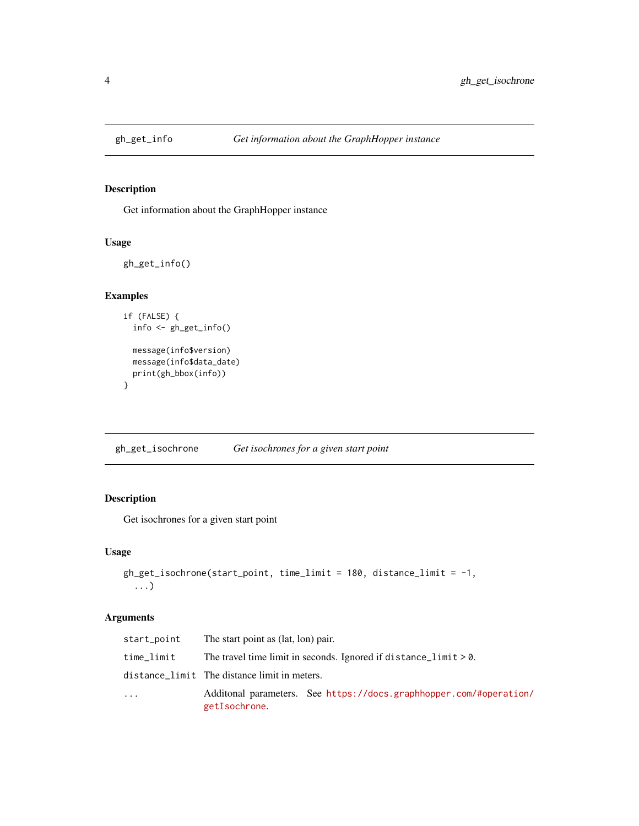<span id="page-3-0"></span>

#### Description

Get information about the GraphHopper instance

#### Usage

```
gh_get_info()
```
#### Examples

```
if (FALSE) {
  info <- gh_get_info()
 message(info$version)
 message(info$data_date)
  print(gh_bbox(info))
}
```
gh\_get\_isochrone *Get isochrones for a given start point*

#### Description

Get isochrones for a given start point

#### Usage

```
gh_get_isochrone(start_point, time_limit = 180, distance_limit = -1,
  ...)
```
#### Arguments

| start_point | The start point as (lat, lon) pair.          |                                                                     |
|-------------|----------------------------------------------|---------------------------------------------------------------------|
| time_limit  |                                              | The travel time limit in seconds. Ignored if distance_limit $> 0$ . |
|             | distance_limit The distance limit in meters. |                                                                     |
| $\ddots$    | getIsochrone.                                | Additional parameters. See https://docs.graphhopper.com/#operation/ |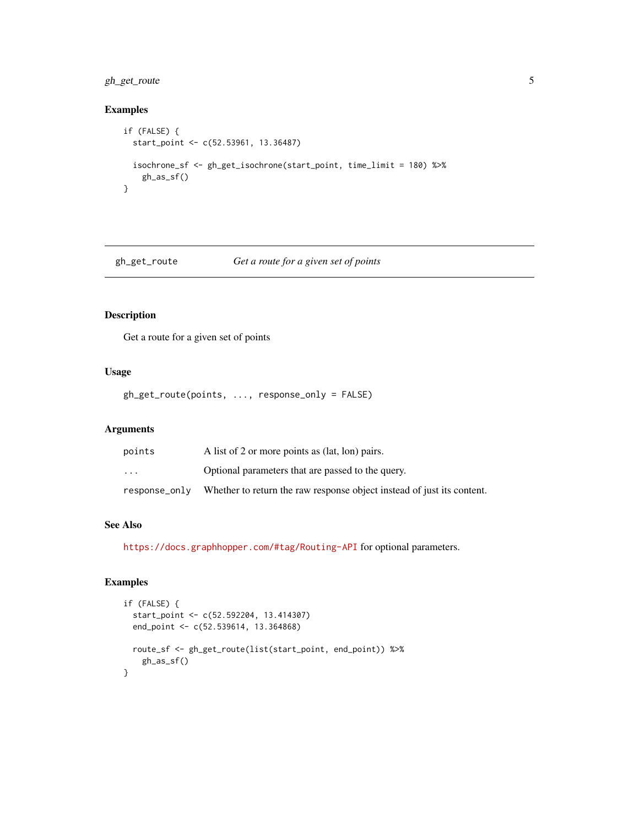#### <span id="page-4-0"></span>gh\_get\_route 5

#### Examples

```
if (FALSE) {
  start_point <- c(52.53961, 13.36487)
  isochrone_sf <- gh_get_isochrone(start_point, time_limit = 180) %>%
   gh_as_sf()
}
```
<span id="page-4-1"></span>gh\_get\_route *Get a route for a given set of points*

#### Description

Get a route for a given set of points

#### Usage

gh\_get\_route(points, ..., response\_only = FALSE)

#### Arguments

| points                  | A list of 2 or more points as (lat, lon) pairs.                        |
|-------------------------|------------------------------------------------------------------------|
| $\cdot$ $\cdot$ $\cdot$ | Optional parameters that are passed to the query.                      |
| response_only           | Whether to return the raw response object instead of just its content. |

#### See Also

<https://docs.graphhopper.com/#tag/Routing-API> for optional parameters.

```
if (FALSE) {
  start_point <- c(52.592204, 13.414307)
  end_point <- c(52.539614, 13.364868)
  route_sf <- gh_get_route(list(start_point, end_point)) %>%
   gh_as_sf()
}
```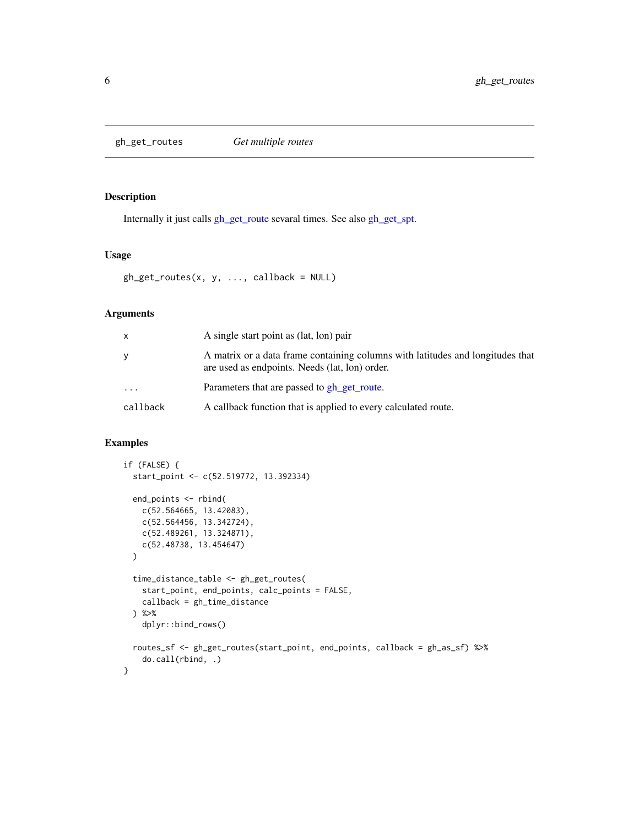<span id="page-5-0"></span>gh\_get\_routes *Get multiple routes*

#### Description

Internally it just calls [gh\\_get\\_route](#page-4-1) sevaral times. See also [gh\\_get\\_spt.](#page-6-1)

#### Usage

```
gh\_get\_routers(x, y, ..., callback = NULL)
```
#### Arguments

| $\mathsf{x}$ | A single start point as (lat, lon) pair                                                                                          |
|--------------|----------------------------------------------------------------------------------------------------------------------------------|
| y            | A matrix or a data frame containing columns with latitudes and longitudes that<br>are used as endpoints. Needs (lat, lon) order. |
| .            | Parameters that are passed to gh_get_route.                                                                                      |
| callback     | A callback function that is applied to every calculated route.                                                                   |

```
if (FALSE) {
 start_point <- c(52.519772, 13.392334)
 end_points <- rbind(
   c(52.564665, 13.42083),
   c(52.564456, 13.342724),
   c(52.489261, 13.324871),
   c(52.48738, 13.454647)
 \mathcal{L}time_distance_table <- gh_get_routes(
   start_point, end_points, calc_points = FALSE,
   callback = gh_time_distance
 ) %>%
    dplyr::bind_rows()
 routes_sf <- gh_get_routes(start_point, end_points, callback = gh_as_sf) %>%
    do.call(rbind, .)
}
```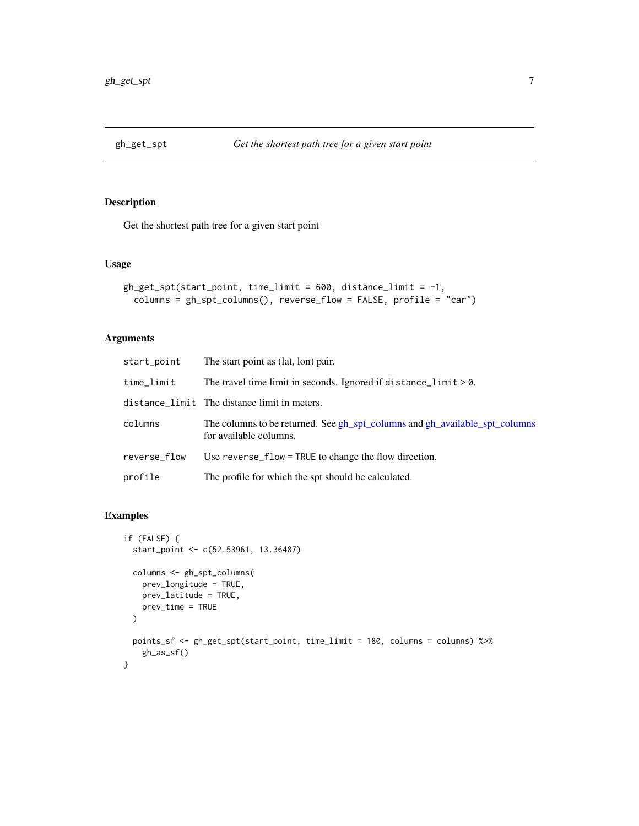<span id="page-6-1"></span><span id="page-6-0"></span>

#### Description

Get the shortest path tree for a given start point

#### Usage

```
gh_get_spt(stat_point, time_limit = 600, distance_limit = -1,columns = gh_spt_columns(), reverse_flow = FALSE, profile = "car")
```
#### Arguments

| start_point  | The start point as (lat, lon) pair.                                                                   |
|--------------|-------------------------------------------------------------------------------------------------------|
| time_limit   | The travel time limit in seconds. Ignored if distance_limit $> 0$ .                                   |
|              | distance_limit The distance limit in meters.                                                          |
| columns      | The columns to be returned. See gh_spt_columns and gh_available_spt_columns<br>for available columns. |
| reverse_flow | Use reverse_flow = TRUE to change the flow direction.                                                 |
| profile      | The profile for which the spt should be calculated.                                                   |

```
if (FALSE) {
  start_point <- c(52.53961, 13.36487)
 columns <- gh_spt_columns(
    prev_longitude = TRUE,
    prev_latitude = TRUE,
    prev_time = TRUE
  \mathcal{L}points_sf <- gh_get_spt(start_point, time_limit = 180, columns = columns) %>%
    gh_as_sf()
}
```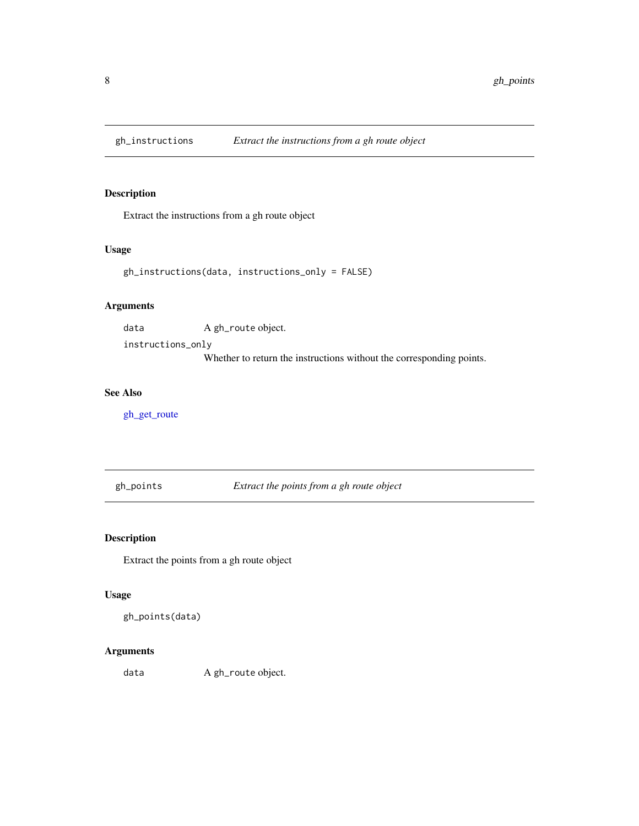<span id="page-7-0"></span>

#### Description

Extract the instructions from a gh route object

#### Usage

gh\_instructions(data, instructions\_only = FALSE)

#### Arguments

data A gh\_route object.

instructions\_only Whether to return the instructions without the corresponding points.

#### See Also

[gh\\_get\\_route](#page-4-1)

gh\_points *Extract the points from a gh route object*

#### Description

Extract the points from a gh route object

#### Usage

gh\_points(data)

#### Arguments

data A gh\_route object.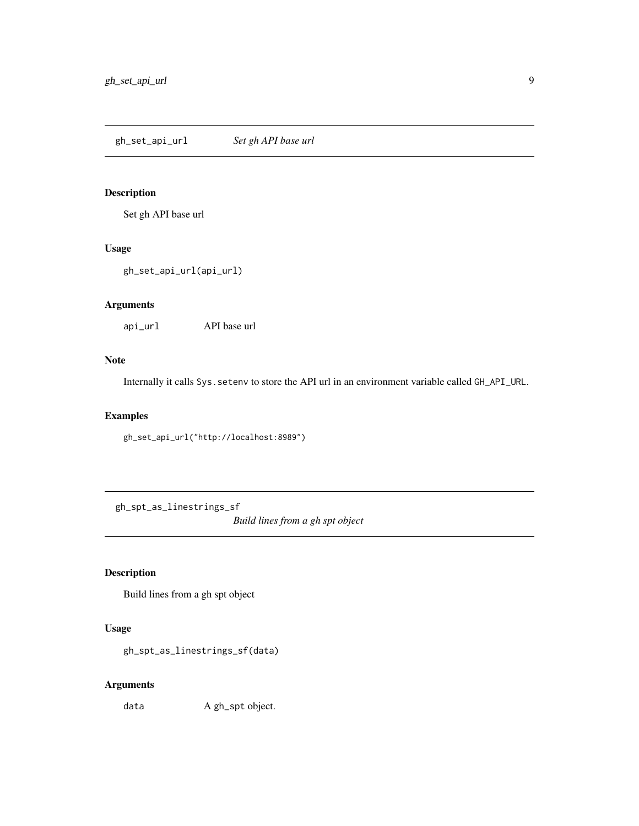<span id="page-8-0"></span>gh\_set\_api\_url *Set gh API base url*

#### Description

Set gh API base url

#### Usage

gh\_set\_api\_url(api\_url)

#### Arguments

api\_url API base url

#### Note

Internally it calls Sys.setenv to store the API url in an environment variable called GH\_API\_URL.

#### Examples

gh\_set\_api\_url("http://localhost:8989")

gh\_spt\_as\_linestrings\_sf

*Build lines from a gh spt object*

#### Description

Build lines from a gh spt object

#### Usage

gh\_spt\_as\_linestrings\_sf(data)

#### Arguments

data A gh\_spt object.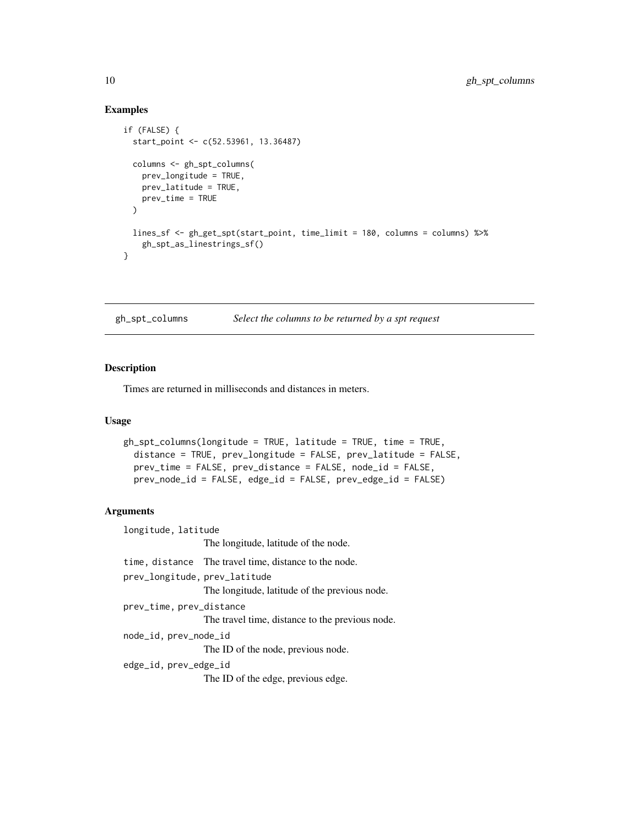#### Examples

```
if (FALSE) {
 start_point <- c(52.53961, 13.36487)
 columns <- gh_spt_columns(
   prev_longitude = TRUE,
   prev_latitude = TRUE,
   prev_time = TRUE
 )
 lines_sf <- gh_get_spt(start_point, time_limit = 180, columns = columns) %>%
   gh_spt_as_linestrings_sf()
}
```
<span id="page-9-1"></span>gh\_spt\_columns *Select the columns to be returned by a spt request*

#### Description

Times are returned in milliseconds and distances in meters.

#### Usage

```
gh_spt_columns(longitude = TRUE, latitude = TRUE, time = TRUE,
 distance = TRUE, prev_longitude = FALSE, prev_latitude = FALSE,
 prev_time = FALSE, prev_distance = FALSE, node_id = FALSE,
 prev_node_id = FALSE, edge_id = FALSE, prev_edge_id = FALSE)
```
#### **Arguments**

longitude, latitude The longitude, latitude of the node. time, distance The travel time, distance to the node. prev\_longitude, prev\_latitude The longitude, latitude of the previous node. prev\_time, prev\_distance The travel time, distance to the previous node. node\_id, prev\_node\_id The ID of the node, previous node. edge\_id, prev\_edge\_id The ID of the edge, previous edge.

<span id="page-9-0"></span>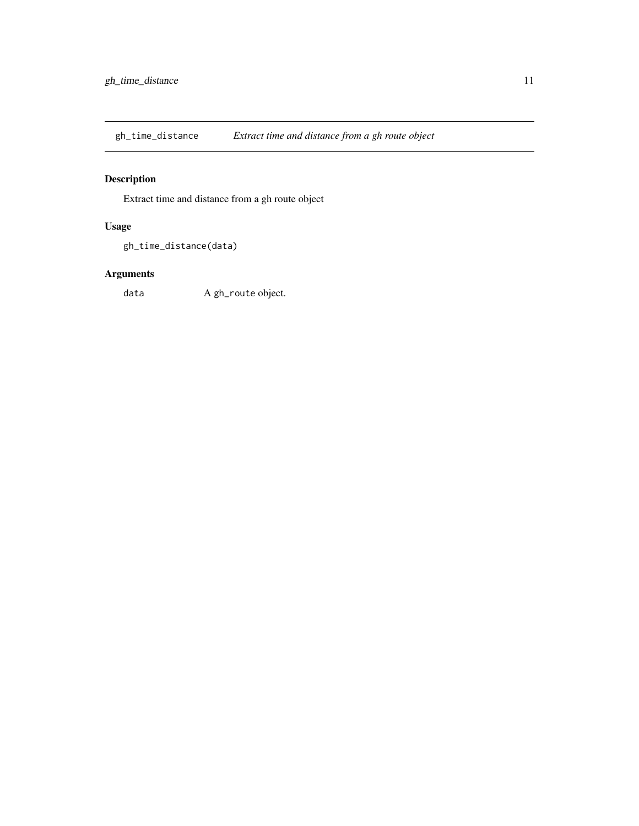<span id="page-10-0"></span>gh\_time\_distance *Extract time and distance from a gh route object*

#### Description

Extract time and distance from a gh route object

#### Usage

```
gh_time_distance(data)
```
#### Arguments

data A gh\_route object.